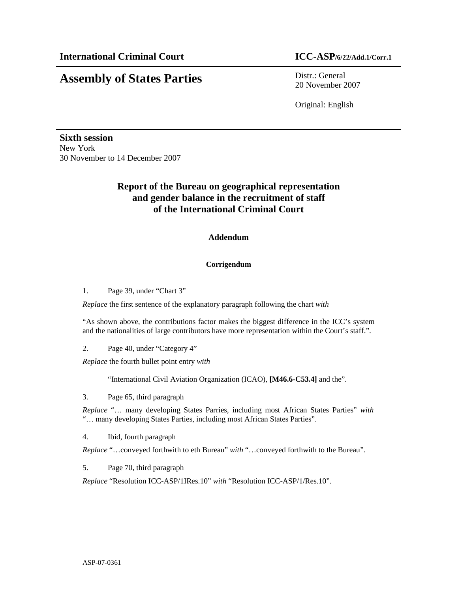# **Assembly of States Parties** Distr.: General

20 November 2007

Original: English

**Sixth session**  New York 30 November to 14 December 2007

## **Report of the Bureau on geographical representation and gender balance in the recruitment of staff of the International Criminal Court**

### **Addendum**

#### **Corrigendum**

1. Page 39, under "Chart 3"

*Replace* the first sentence of the explanatory paragraph following the chart *with*

"As shown above, the contributions factor makes the biggest difference in the ICC's system and the nationalities of large contributors have more representation within the Court's staff.".

2. Page 40, under "Category 4"

*Replace* the fourth bullet point entry *with* 

"International Civil Aviation Organization (ICAO), **[M46.6-C53.4]** and the".

3. Page 65, third paragraph

*Replace* "… many developing States Parries, including most African States Parties" *with* "… many developing States Parties, including most African States Parties".

4. Ibid, fourth paragraph

*Replace* "…conveyed forthwith to eth Bureau" *with* "…conveyed forthwith to the Bureau".

5. Page 70, third paragraph

*Replace* "Resolution ICC-ASP/1IRes.10" *with* "Resolution ICC-ASP/1/Res.10".